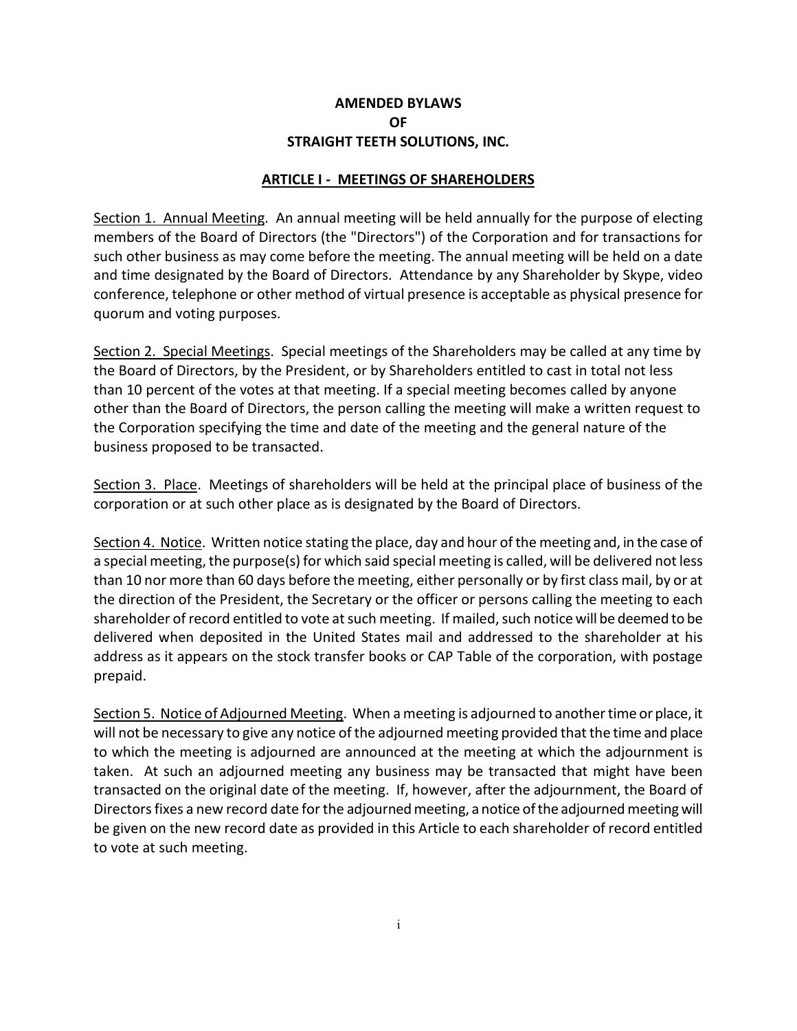### **AMENDED BYLAWS OF STRAIGHT TEETH SOLUTIONS, INC.**

#### **ARTICLE I - MEETINGS OF SHAREHOLDERS**

Section 1. Annual Meeting. An annual meeting will be held annually for the purpose of electing members of the Board of Directors (the "Directors") of the Corporation and for transactions for such other business as may come before the meeting. The annual meeting will be held on a date and time designated by the Board of Directors. Attendance by any Shareholder by Skype, video conference, telephone or other method of virtual presence is acceptable as physical presence for quorum and voting purposes.

Section 2. Special Meetings. Special meetings of the Shareholders may be called at any time by the Board of Directors, by the President, or by Shareholders entitled to cast in total not less than 10 percent of the votes at that meeting. If a special meeting becomes called by anyone other than the Board of Directors, the person calling the meeting will make a written request to the Corporation specifying the time and date of the meeting and the general nature of the business proposed to be transacted.

Section 3. Place. Meetings of shareholders will be held at the principal place of business of the corporation or at such other place as is designated by the Board of Directors.

Section 4. Notice. Written notice stating the place, day and hour of the meeting and, in the case of a special meeting, the purpose(s) for which said special meeting is called, will be delivered not less than 10 nor more than 60 days before the meeting, either personally or by first class mail, by or at the direction of the President, the Secretary or the officer or persons calling the meeting to each shareholder of record entitled to vote at such meeting. If mailed, such notice will be deemed to be delivered when deposited in the United States mail and addressed to the shareholder at his address as it appears on the stock transfer books or CAP Table of the corporation, with postage prepaid.

Section 5. Notice of Adjourned Meeting. When a meeting is adjourned to another time or place, it will not be necessary to give any notice of the adjourned meeting provided that the time and place to which the meeting is adjourned are announced at the meeting at which the adjournment is taken. At such an adjourned meeting any business may be transacted that might have been transacted on the original date of the meeting. If, however, after the adjournment, the Board of Directors fixes a new record date for the adjourned meeting, a notice of the adjourned meeting will be given on the new record date as provided in this Article to each shareholder of record entitled to vote at such meeting.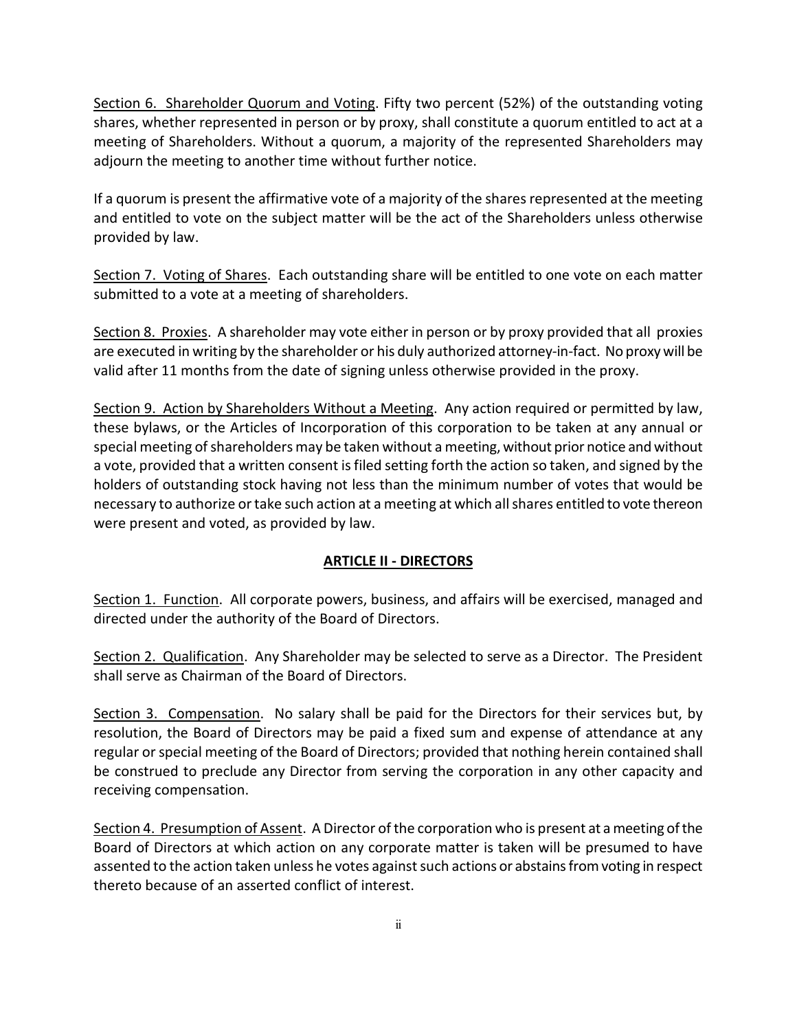Section 6. Shareholder Quorum and Voting. Fifty two percent (52%) of the outstanding voting shares, whether represented in person or by proxy, shall constitute a quorum entitled to act at a meeting of Shareholders. Without a quorum, a majority of the represented Shareholders may adjourn the meeting to another time without further notice.

If a quorum is present the affirmative vote of a majority of the shares represented at the meeting and entitled to vote on the subject matter will be the act of the Shareholders unless otherwise provided by law.

Section 7. Voting of Shares. Each outstanding share will be entitled to one vote on each matter submitted to a vote at a meeting of shareholders.

Section 8. Proxies. A shareholder may vote either in person or by proxy provided that all proxies are executed in writing by the shareholder or his duly authorized attorney-in-fact. No proxy will be valid after 11 months from the date of signing unless otherwise provided in the proxy.

Section 9. Action by Shareholders Without a Meeting. Any action required or permitted by law, these bylaws, or the Articles of Incorporation of this corporation to be taken at any annual or special meeting of shareholders may be taken without a meeting, without prior notice and without a vote, provided that a written consent is filed setting forth the action so taken, and signed by the holders of outstanding stock having not less than the minimum number of votes that would be necessary to authorize or take such action at a meeting at which all shares entitled to vote thereon were present and voted, as provided by law.

# **ARTICLE II - DIRECTORS**

Section 1. Function. All corporate powers, business, and affairs will be exercised, managed and directed under the authority of the Board of Directors.

Section 2. Qualification. Any Shareholder may be selected to serve as a Director. The President shall serve as Chairman of the Board of Directors.

Section 3. Compensation. No salary shall be paid for the Directors for their services but, by resolution, the Board of Directors may be paid a fixed sum and expense of attendance at any regular or special meeting of the Board of Directors; provided that nothing herein contained shall be construed to preclude any Director from serving the corporation in any other capacity and receiving compensation.

Section 4. Presumption of Assent. A Director of the corporation who is present at a meeting of the Board of Directors at which action on any corporate matter is taken will be presumed to have assented to the action taken unless he votes against such actions or abstains from voting in respect thereto because of an asserted conflict of interest.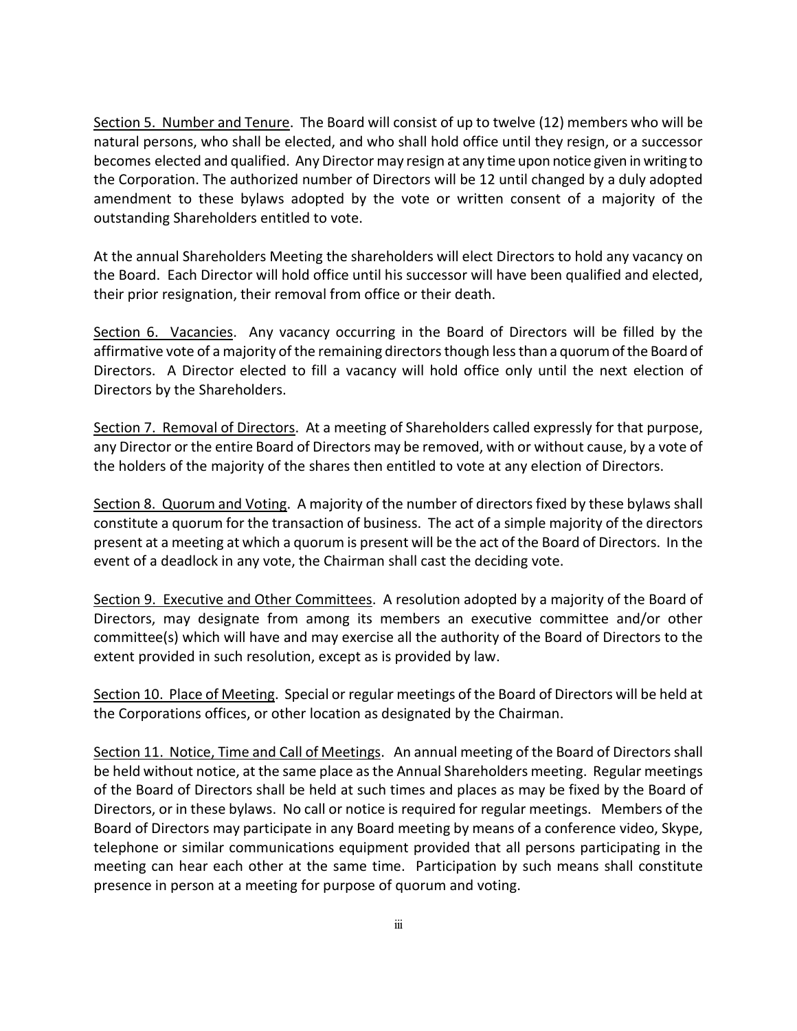Section 5. Number and Tenure. The Board will consist of up to twelve (12) members who will be natural persons, who shall be elected, and who shall hold office until they resign, or a successor becomes elected and qualified. Any Director may resign at any time upon notice given in writing to the Corporation. The authorized number of Directors will be 12 until changed by a duly adopted amendment to these bylaws adopted by the vote or written consent of a majority of the outstanding Shareholders entitled to vote.

At the annual Shareholders Meeting the shareholders will elect Directors to hold any vacancy on the Board. Each Director will hold office until his successor will have been qualified and elected, their prior resignation, their removal from office or their death.

Section 6. Vacancies. Any vacancy occurring in the Board of Directors will be filled by the affirmative vote of a majority of the remaining directors though less than a quorum of the Board of Directors. A Director elected to fill a vacancy will hold office only until the next election of Directors by the Shareholders.

Section 7. Removal of Directors. At a meeting of Shareholders called expressly for that purpose, any Director or the entire Board of Directors may be removed, with or without cause, by a vote of the holders of the majority of the shares then entitled to vote at any election of Directors.

Section 8. Quorum and Voting. A majority of the number of directors fixed by these bylaws shall constitute a quorum for the transaction of business. The act of a simple majority of the directors present at a meeting at which a quorum is present will be the act of the Board of Directors. In the event of a deadlock in any vote, the Chairman shall cast the deciding vote.

Section 9. Executive and Other Committees. A resolution adopted by a majority of the Board of Directors, may designate from among its members an executive committee and/or other committee(s) which will have and may exercise all the authority of the Board of Directors to the extent provided in such resolution, except as is provided by law.

Section 10. Place of Meeting. Special or regular meetings of the Board of Directors will be held at the Corporations offices, or other location as designated by the Chairman.

Section 11. Notice, Time and Call of Meetings. An annual meeting of the Board of Directors shall be held without notice, at the same place as the Annual Shareholders meeting. Regular meetings of the Board of Directors shall be held at such times and places as may be fixed by the Board of Directors, or in these bylaws. No call or notice is required for regular meetings. Members of the Board of Directors may participate in any Board meeting by means of a conference video, Skype, telephone or similar communications equipment provided that all persons participating in the meeting can hear each other at the same time. Participation by such means shall constitute presence in person at a meeting for purpose of quorum and voting.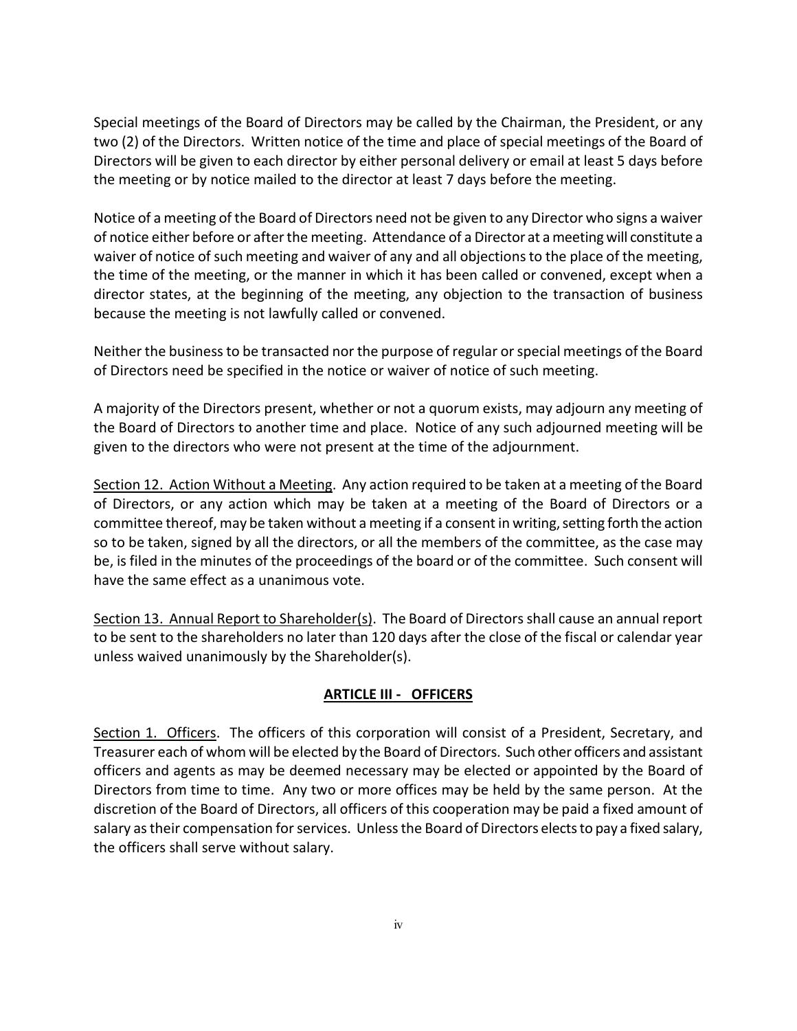Special meetings of the Board of Directors may be called by the Chairman, the President, or any two (2) of the Directors. Written notice of the time and place of special meetings of the Board of Directors will be given to each director by either personal delivery or email at least 5 days before the meeting or by notice mailed to the director at least 7 days before the meeting.

Notice of a meeting of the Board of Directors need not be given to any Director who signs a waiver of notice either before or after the meeting. Attendance of a Director at a meeting will constitute a waiver of notice of such meeting and waiver of any and all objections to the place of the meeting, the time of the meeting, or the manner in which it has been called or convened, except when a director states, at the beginning of the meeting, any objection to the transaction of business because the meeting is not lawfully called or convened.

Neither the business to be transacted nor the purpose of regular or special meetings of the Board of Directors need be specified in the notice or waiver of notice of such meeting.

A majority of the Directors present, whether or not a quorum exists, may adjourn any meeting of the Board of Directors to another time and place. Notice of any such adjourned meeting will be given to the directors who were not present at the time of the adjournment.

Section 12. Action Without a Meeting. Any action required to be taken at a meeting of the Board of Directors, or any action which may be taken at a meeting of the Board of Directors or a committee thereof, may be taken without a meeting if a consent in writing, setting forth the action so to be taken, signed by all the directors, or all the members of the committee, as the case may be, is filed in the minutes of the proceedings of the board or of the committee. Such consent will have the same effect as a unanimous vote.

Section 13. Annual Report to Shareholder(s). The Board of Directors shall cause an annual report to be sent to the shareholders no later than 120 days after the close of the fiscal or calendar year unless waived unanimously by the Shareholder(s).

# **ARTICLE III - OFFICERS**

Section 1. Officers. The officers of this corporation will consist of a President, Secretary, and Treasurer each of whom will be elected by the Board of Directors. Such other officers and assistant officers and agents as may be deemed necessary may be elected or appointed by the Board of Directors from time to time. Any two or more offices may be held by the same person. At the discretion of the Board of Directors, all officers of this cooperation may be paid a fixed amount of salary as their compensation for services. Unless the Board of Directors elects to pay a fixed salary, the officers shall serve without salary.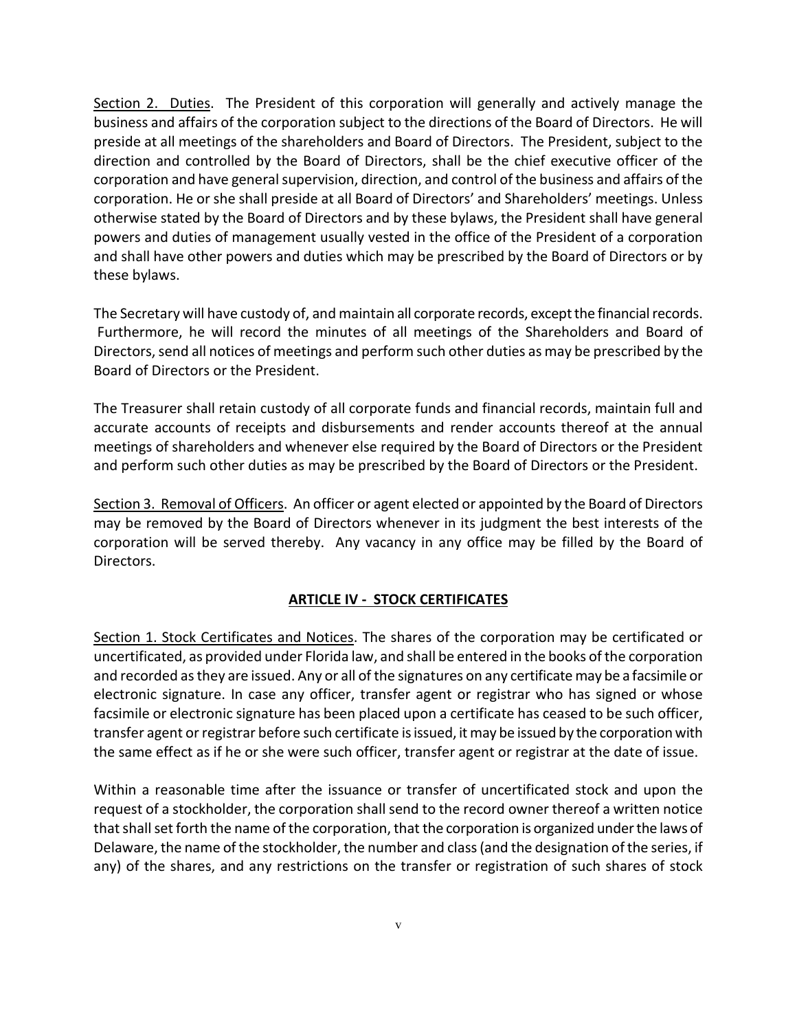Section 2. Duties. The President of this corporation will generally and actively manage the business and affairs of the corporation subject to the directions of the Board of Directors. He will preside at all meetings of the shareholders and Board of Directors. The President, subject to the direction and controlled by the Board of Directors, shall be the chief executive officer of the corporation and have general supervision, direction, and control of the business and affairs of the corporation. He or she shall preside at all Board of Directors' and Shareholders' meetings. Unless otherwise stated by the Board of Directors and by these bylaws, the President shall have general powers and duties of management usually vested in the office of the President of a corporation and shall have other powers and duties which may be prescribed by the Board of Directors or by these bylaws.

The Secretary will have custody of, and maintain all corporate records, except the financial records. Furthermore, he will record the minutes of all meetings of the Shareholders and Board of Directors, send all notices of meetings and perform such other duties as may be prescribed by the Board of Directors or the President.

The Treasurer shall retain custody of all corporate funds and financial records, maintain full and accurate accounts of receipts and disbursements and render accounts thereof at the annual meetings of shareholders and whenever else required by the Board of Directors or the President and perform such other duties as may be prescribed by the Board of Directors or the President.

Section 3. Removal of Officers. An officer or agent elected or appointed by the Board of Directors may be removed by the Board of Directors whenever in its judgment the best interests of the corporation will be served thereby. Any vacancy in any office may be filled by the Board of Directors.

### **ARTICLE IV - STOCK CERTIFICATES**

Section 1. Stock Certificates and Notices. The shares of the corporation may be certificated or uncertificated, as provided under Florida law, and shall be entered in the books of the corporation and recorded as they are issued. Any or all of the signatures on any certificate may be a facsimile or electronic signature. In case any officer, transfer agent or registrar who has signed or whose facsimile or electronic signature has been placed upon a certificate has ceased to be such officer, transfer agent or registrar before such certificate is issued, it may be issued by the corporation with the same effect as if he or she were such officer, transfer agent or registrar at the date of issue.

Within a reasonable time after the issuance or transfer of uncertificated stock and upon the request of a stockholder, the corporation shall send to the record owner thereof a written notice that shall set forth the name of the corporation, that the corporation is organized under the laws of Delaware, the name of the stockholder, the number and class (and the designation of the series, if any) of the shares, and any restrictions on the transfer or registration of such shares of stock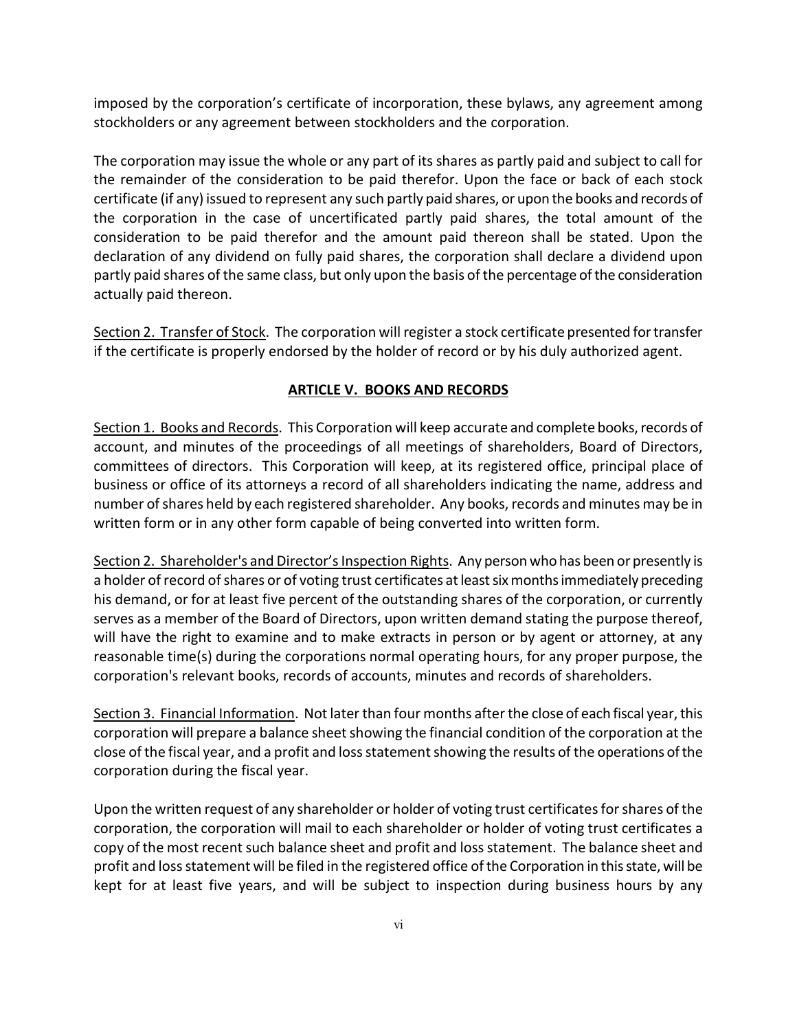imposed by the corporation's certificate of incorporation, these bylaws, any agreement among stockholders or any agreement between stockholders and the corporation.

The corporation may issue the whole or any part of its shares as partly paid and subject to call for the remainder of the consideration to be paid therefor. Upon the face or back of each stock certificate (if any) issued to represent any such partly paid shares, or upon the books and records of the corporation in the case of uncertificated partly paid shares, the total amount of the consideration to be paid therefor and the amount paid thereon shall be stated. Upon the declaration of any dividend on fully paid shares, the corporation shall declare a dividend upon partly paid shares of the same class, but only upon the basis of the percentage of the consideration actually paid thereon.

Section 2. Transfer of Stock. The corporation will register a stock certificate presented for transfer if the certificate is properly endorsed by the holder of record or by his duly authorized agent.

### **ARTICLE V. BOOKS AND RECORDS**

Section 1. Books and Records. This Corporation will keep accurate and complete books, records of account, and minutes of the proceedings of all meetings of shareholders, Board of Directors, committees of directors. This Corporation will keep, at its registered office, principal place of business or office of its attorneys a record of all shareholders indicating the name, address and number of shares held by each registered shareholder. Any books, records and minutes may be in written form or in any other form capable of being converted into written form.

Section 2. Shareholder's and Director's Inspection Rights. Any person who has been or presently is a holder of record of shares or of voting trust certificates at least six months immediately preceding his demand, or for at least five percent of the outstanding shares of the corporation, or currently serves as a member of the Board of Directors, upon written demand stating the purpose thereof, will have the right to examine and to make extracts in person or by agent or attorney, at any reasonable time(s) during the corporations normal operating hours, for any proper purpose, the corporation's relevant books, records of accounts, minutes and records of shareholders.

Section 3. Financial Information. Not later than four months after the close of each fiscal year, this corporation will prepare a balance sheet showing the financial condition of the corporation at the close of the fiscal year, and a profit and loss statement showing the results of the operations of the corporation during the fiscal year.

Upon the written request of any shareholder or holder of voting trust certificates for shares of the corporation, the corporation will mail to each shareholder or holder of voting trust certificates a copy of the most recent such balance sheet and profit and loss statement. The balance sheet and profit and loss statement will be filed in the registered office of the Corporation in this state, will be kept for at least five years, and will be subject to inspection during business hours by any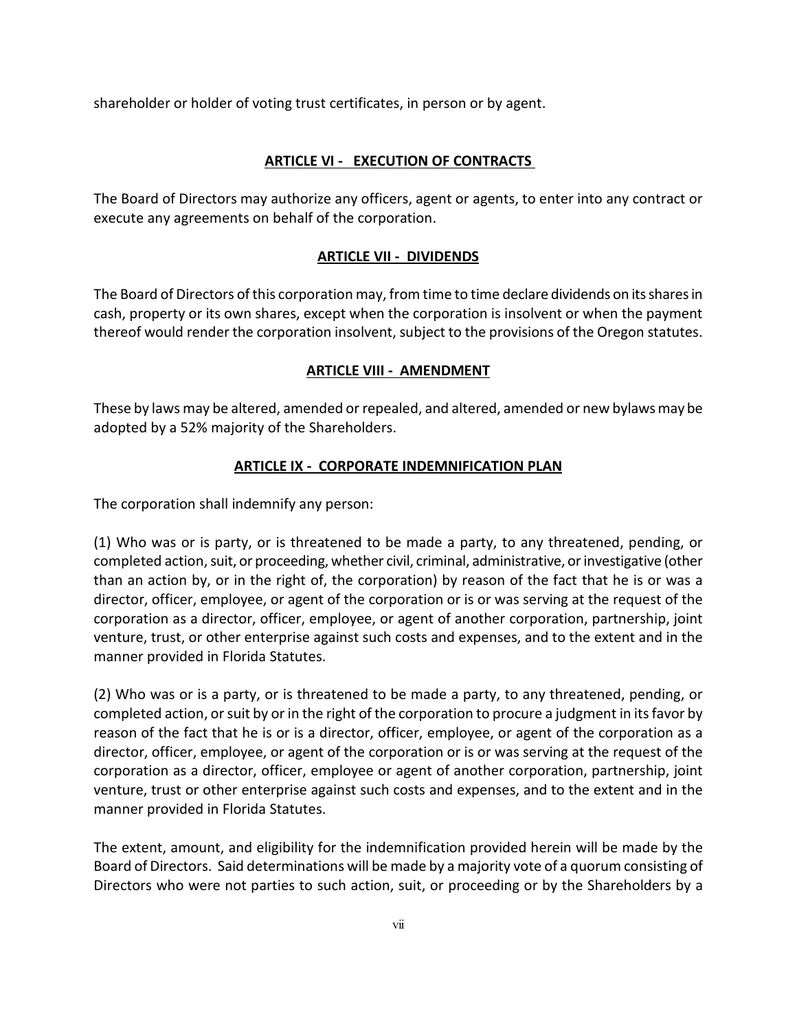shareholder or holder of voting trust certificates, in person or by agent.

## **ARTICLE VI - EXECUTION OF CONTRACTS**

The Board of Directors may authorize any officers, agent or agents, to enter into any contract or execute any agreements on behalf of the corporation.

### **ARTICLE VII - DIVIDENDS**

The Board of Directors of this corporation may, from time to time declare dividends on its shares in cash, property or its own shares, except when the corporation is insolvent or when the payment thereof would render the corporation insolvent, subject to the provisions of the Oregon statutes.

#### **ARTICLE VIII - AMENDMENT**

These by laws may be altered, amended or repealed, and altered, amended or new bylaws may be adopted by a 52% majority of the Shareholders.

### **ARTICLE IX - CORPORATE INDEMNIFICATION PLAN**

The corporation shall indemnify any person:

(1) Who was or is party, or is threatened to be made a party, to any threatened, pending, or completed action, suit, or proceeding, whether civil, criminal, administrative, or investigative (other than an action by, or in the right of, the corporation) by reason of the fact that he is or was a director, officer, employee, or agent of the corporation or is or was serving at the request of the corporation as a director, officer, employee, or agent of another corporation, partnership, joint venture, trust, or other enterprise against such costs and expenses, and to the extent and in the manner provided in Florida Statutes.

(2) Who was or is a party, or is threatened to be made a party, to any threatened, pending, or completed action, or suit by or in the right of the corporation to procure a judgment in its favor by reason of the fact that he is or is a director, officer, employee, or agent of the corporation as a director, officer, employee, or agent of the corporation or is or was serving at the request of the corporation as a director, officer, employee or agent of another corporation, partnership, joint venture, trust or other enterprise against such costs and expenses, and to the extent and in the manner provided in Florida Statutes.

The extent, amount, and eligibility for the indemnification provided herein will be made by the Board of Directors. Said determinations will be made by a majority vote of a quorum consisting of Directors who were not parties to such action, suit, or proceeding or by the Shareholders by a